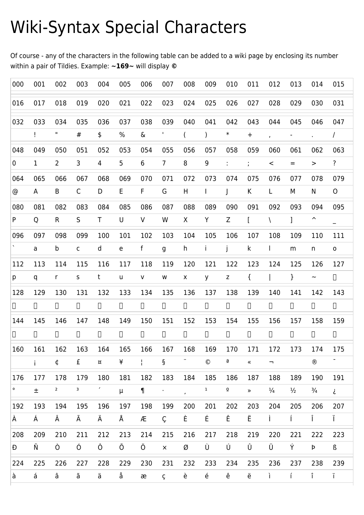## **Wiki-Syntax Special Characters**

Of course - any of the characters in the following table can be added to a wiki page by enclosing its number within a pair of Tildies. Example: ~169~ will display ©

| 000     | 001    | 002                                     | 003                                     | 004                  | 005                                        | 006          | 007                                     | 008          | 009           | 010                     | 011       | 012                      | 013                                     | 014                       | 015                      |
|---------|--------|-----------------------------------------|-----------------------------------------|----------------------|--------------------------------------------|--------------|-----------------------------------------|--------------|---------------|-------------------------|-----------|--------------------------|-----------------------------------------|---------------------------|--------------------------|
| 016     | 017    | 018                                     | 019                                     | 020                  | 021                                        | 022          | 023                                     | 024          | 025           | 026                     | 027       | 028                      | 029                                     | 030                       | 031                      |
| 032     | 033    | 034                                     | 035                                     | 036                  | 037                                        | 038          | 039                                     | 040          | 041           | 042                     | 043       | 044                      | 045                                     | 046                       | 047                      |
|         | Ţ      | $\mathbf{u}_\parallel$                  | #                                       | \$                   | %                                          | ଝ            | I.                                      | $\left($     | $\mathcal{L}$ | $\ast$                  | $\ddot{}$ | $\mathbf{r}$             | -                                       | i.                        | $\prime$                 |
| 048     | 049    | 050                                     | 051                                     | 052                  | 053                                        | 054          | 055                                     | 056          | 057           | 058                     | 059       | 060                      | 061                                     | 062                       | 063                      |
| 0       | 1      | $\overline{2}$                          | 3                                       | 4                    | 5                                          | 6            | $\overline{7}$                          | 8            | 9             | t.                      | ÷.        | $\,<\,$                  | $\hspace{1.6cm} = \hspace{1.6cm}$       | $\,>$                     | $\overline{\mathcal{C}}$ |
| 064     | 065    | 066                                     | 067                                     | 068                  | 069                                        | 070          | 071                                     | 072          | 073           | 074                     | 075       | 076                      | 077                                     | 078                       | 079                      |
| @       | A      | B                                       | $\mathsf{C}$                            | D                    | E                                          | F            | G                                       | H            | $\mathbf{I}$  | J                       | K         | L                        | М                                       | N                         | $\mathsf{O}$             |
| 080     | 081    | 082                                     | 083                                     | 084                  | 085                                        | 086          | 087                                     | 088          | 089           | 090                     | 091       | 092                      | 093                                     | 094                       | 095                      |
| P       | Q      | R                                       | S                                       | T                    | U                                          | V            | W                                       | X.           | Y.            | Z                       | L         | $\setminus$              | l                                       | $\hat{\phantom{a}}$       |                          |
| 096     | 097    | 098                                     | 099                                     | 100                  | 101                                        | 102          | 103                                     | 104          | 105           | 106                     | 107       | 108                      | 109                                     | 110                       | 111                      |
|         | a      | b                                       | $\mathsf C$                             | d                    | $\mathsf{e}% _{t}\left( \mathsf{e}\right)$ | f            | g                                       | h            | j.            | j                       | k         | $\mathbf{I}$             | m                                       | n                         | $\mathsf{o}\xspace$      |
| 112     | 113    | 114                                     | 115                                     | 116                  | 117                                        | 118          | 119                                     | 120          | 121           | 122                     | 123       | 124                      | 125                                     | 126                       | 127                      |
| р       | q      | r                                       | S                                       | t                    | $\sf u$                                    | V            | W                                       | $\mathsf{X}$ | y             | $\mathsf Z$             | $\{$      |                          | }                                       | $\widetilde{\phantom{m}}$ | $\Box$                   |
| 128     | 129    | 130                                     | 131                                     | 132                  | 133                                        | 134          | 135                                     | 136          | 137           | 138                     | 139       | 140                      | 141                                     | 142                       | 143                      |
| $\Box$  | $\Box$ | $\begin{array}{ccc} \hline \end{array}$ | $\Box$                                  | $\Box$               | $\Box$                                     | $\Box$       | $\begin{array}{ccc} \hline \end{array}$ | $\Box$       | $\Box$        | $\Box$                  | $\Box$    | $\Box$                   | $\Box$                                  | $\Box$                    | $\Box$                   |
| 144     | 145    | 146                                     | 147                                     | 148                  | 149                                        | 150          | 151                                     | 152          | 153           | 154                     | 155       | 156                      | 157                                     | 158                       | 159                      |
| $\Box$  | $\Box$ | $\begin{array}{c} \square \end{array}$  | $\begin{array}{ccc} \hline \end{array}$ | $\Box$               | $\Box$                                     | $\Box$       | $\begin{array}{c} \square \end{array}$  | $\Box$       | $\Box$        | $\Box$                  | $\Box$    | $\Box$                   | $\begin{array}{ccc} \hline \end{array}$ | $\Box$                    | $\Box$                   |
| 160     | 161    | 162                                     | 163                                     | 164                  | 165                                        | 166          | 167                                     | 168          | 169           | 170                     | 171       | 172                      | 173                                     | 174                       | 175                      |
|         | i.     | ¢                                       | £                                       | $\,\overline{\rm N}$ | ¥                                          | Ŧ            | ş                                       | .,           | $\odot$       | $\mathbf{a}$            | $\ll$     | $\overline{\phantom{a}}$ |                                         | $^\circledR$              |                          |
| 176     | 177    | 178                                     | 179                                     | 180                  | 181                                        | 182          | 183                                     | 184          | 185           | 186                     | 187       | 188                      | 189                                     | 190                       | 191                      |
| $\circ$ | $\pm$  | $\overline{2}$                          | $\mathbf{3}$                            | $\epsilon$           | μ                                          | $\mathbf{P}$ | $\mathbf{r}$ .                          | $\mathbf{v}$ | $\mathbf{1}$  | $\overline{\mathsf{o}}$ | $\gg$     | $\frac{1}{4}$            | $\frac{1}{2}$                           | $\frac{3}{4}$             | ί                        |
| 192     | 193    | 194                                     | 195                                     | 196                  | 197                                        | 198          | 199                                     | 200          | 201           | 202                     | 203       | 204                      | 205                                     | 206                       | 207                      |
| À       | Á      | Â                                       | Ã                                       | Ä                    | Å                                          | Æ            | $\varsigma$                             | È            | É             | Ê                       | Ë         | Ì                        | Ĺ                                       | Î                         | Ï.                       |
| 208     | 209    | 210                                     | 211                                     | 212                  | 213                                        | 214          | 215                                     | 216          | 217           | 218                     | 219       | 220                      | 221                                     | 222                       | 223                      |
| Ð       | Ñ      | Ò                                       | Ó                                       | Ô                    | Õ                                          | Ö            | $\boldsymbol{\mathsf{X}}$               | Ø            | Ù             | Ú                       | Û         | Ü                        | Ý                                       | Þ                         | ß                        |
| 224     | 225    | 226                                     | 227                                     | 228                  | 229                                        | 230          | 231                                     | 232          | 233           | 234                     | 235       | 236                      | 237                                     | 238                       | 239                      |
| à       | á      | â                                       | ã                                       | ä                    | å                                          | æ            | Ç                                       | è            | é             | ê                       | ë         | Ì.                       | Ĺ                                       | î                         | Ï.                       |